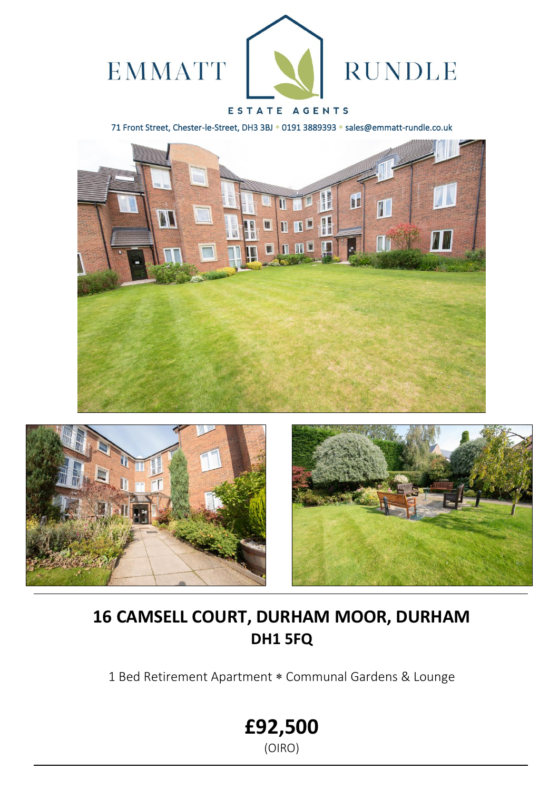

## ESTATE AGENTS

71 Front Street, Chester-le-Street, DH3 3BJ \* 0191 3889393 \* sales@emmatt-rundle.co.uk







# **16 CAMSELL COURT, DURHAM MOOR, DURHAM DH1 5FQ**

1 Bed Retirement Apartment \* Communal Gardens & Lounge

**£92,500**

(OIRO)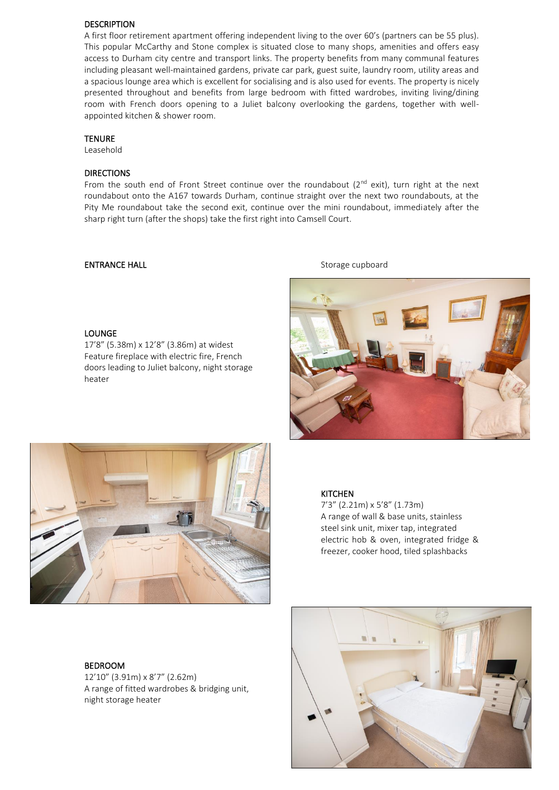### DESCRIPTION

A first floor retirement apartment offering independent living to the over 60's (partners can be 55 plus). This popular McCarthy and Stone complex is situated close to many shops, amenities and offers easy access to Durham city centre and transport links. The property benefits from many communal features including pleasant well-maintained gardens, private car park, guest suite, laundry room, utility areas and a spacious lounge area which is excellent for socialising and is also used for events. The property is nicely presented throughout and benefits from large bedroom with fitted wardrobes, inviting living/dining room with French doors opening to a Juliet balcony overlooking the gardens, together with wellappointed kitchen & shower room.

### TENURE

Leasehold

### DIRECTIONS

From the south end of Front Street continue over the roundabout (2<sup>nd</sup> exit), turn right at the next roundabout onto the A167 towards Durham, continue straight over the next two roundabouts, at the Pity Me roundabout take the second exit, continue over the mini roundabout, immediately after the sharp right turn (after the shops) take the first right into Camsell Court.

### ENTRANCE HALL **ENTRANCE** HALL **Storage cupboard**

### LOUNGE

17'8" (5.38m) x 12'8" (3.86m) at widest Feature fireplace with electric fire, French doors leading to Juliet balcony, night storage heater





### KITCHEN

 7'3" (2.21m) x 5'8" (1.73m) A range of wall & base units, stainless steel sink unit, mixer tap, integrated electric hob & oven, integrated fridge & freezer, cooker hood, tiled splashbacks

### BEDROOM

12'10" (3.91m) x 8'7" (2.62m) A range of fitted wardrobes & bridging unit, night storage heater

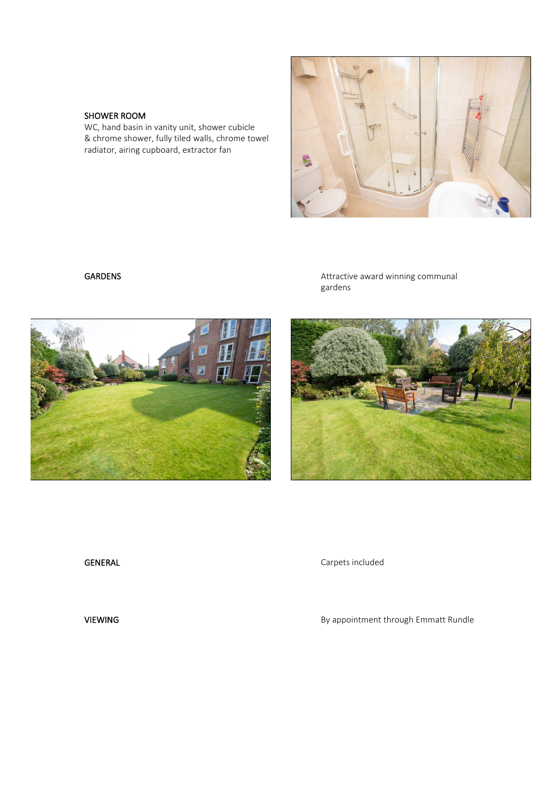### SHOWER ROOM

WC, hand basin in vanity unit, shower cubicle & chrome shower, fully tiled walls, chrome towel radiator, airing cupboard, extractor fan



GARDENS GARDENS **GARDENS Attractive award winning communal** gardens



GENERAL GENERAL Carpets included

VIEWING **By appointment through Emmatt Rundle**